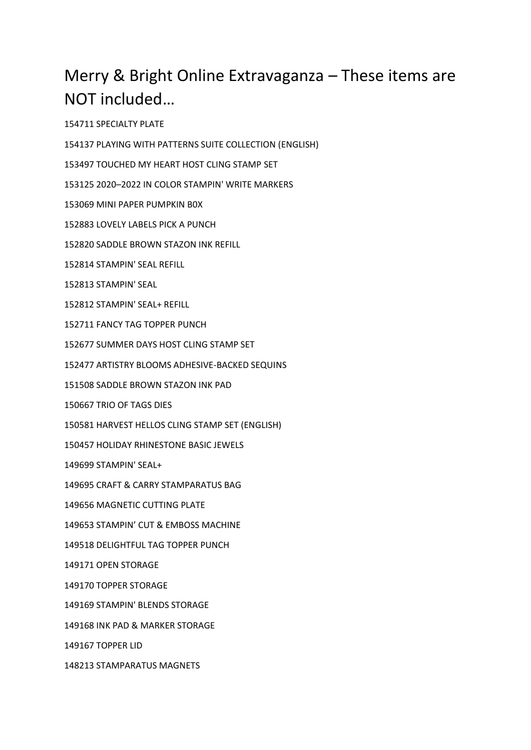## Merry & Bright Online Extravaganza – These items are NOT included…

SPECIALTY PLATE

PLAYING WITH PATTERNS SUITE COLLECTION (ENGLISH)

TOUCHED MY HEART HOST CLING STAMP SET

2020–2022 IN COLOR STAMPIN' WRITE MARKERS

MINI PAPER PUMPKIN B0X

LOVELY LABELS PICK A PUNCH

SADDLE BROWN STAZON INK REFILL

STAMPIN' SEAL REFILL

STAMPIN' SEAL

STAMPIN' SEAL+ REFILL

FANCY TAG TOPPER PUNCH

SUMMER DAYS HOST CLING STAMP SET

ARTISTRY BLOOMS ADHESIVE-BACKED SEQUINS

SADDLE BROWN STAZON INK PAD

TRIO OF TAGS DIES

HARVEST HELLOS CLING STAMP SET (ENGLISH)

HOLIDAY RHINESTONE BASIC JEWELS

STAMPIN' SEAL+

CRAFT & CARRY STAMPARATUS BAG

MAGNETIC CUTTING PLATE

STAMPIN' CUT & EMBOSS MACHINE

DELIGHTFUL TAG TOPPER PUNCH

OPEN STORAGE

TOPPER STORAGE

STAMPIN' BLENDS STORAGE

INK PAD & MARKER STORAGE

TOPPER LID

STAMPARATUS MAGNETS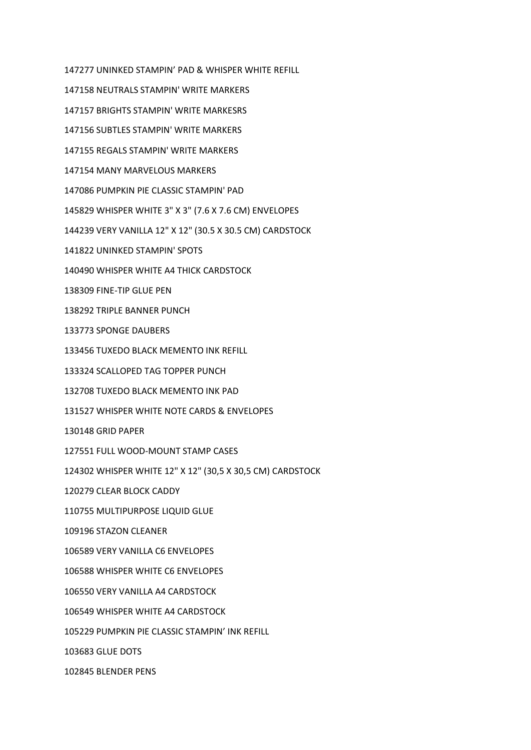UNINKED STAMPIN' PAD & WHISPER WHITE REFILL NEUTRALS STAMPIN' WRITE MARKERS BRIGHTS STAMPIN' WRITE MARKESRS SUBTLES STAMPIN' WRITE MARKERS REGALS STAMPIN' WRITE MARKERS MANY MARVELOUS MARKERS PUMPKIN PIE CLASSIC STAMPIN' PAD WHISPER WHITE 3" X 3" (7.6 X 7.6 CM) ENVELOPES VERY VANILLA 12" X 12" (30.5 X 30.5 CM) CARDSTOCK UNINKED STAMPIN' SPOTS WHISPER WHITE A4 THICK CARDSTOCK FINE-TIP GLUE PEN TRIPLE BANNER PUNCH SPONGE DAUBERS TUXEDO BLACK MEMENTO INK REFILL SCALLOPED TAG TOPPER PUNCH TUXEDO BLACK MEMENTO INK PAD WHISPER WHITE NOTE CARDS & ENVELOPES GRID PAPER FULL WOOD-MOUNT STAMP CASES WHISPER WHITE 12" X 12" (30,5 X 30,5 CM) CARDSTOCK CLEAR BLOCK CADDY MULTIPURPOSE LIQUID GLUE STAZON CLEANER VERY VANILLA C6 ENVELOPES WHISPER WHITE C6 ENVELOPES VERY VANILLA A4 CARDSTOCK WHISPER WHITE A4 CARDSTOCK PUMPKIN PIE CLASSIC STAMPIN' INK REFILL GLUE DOTS BLENDER PENS